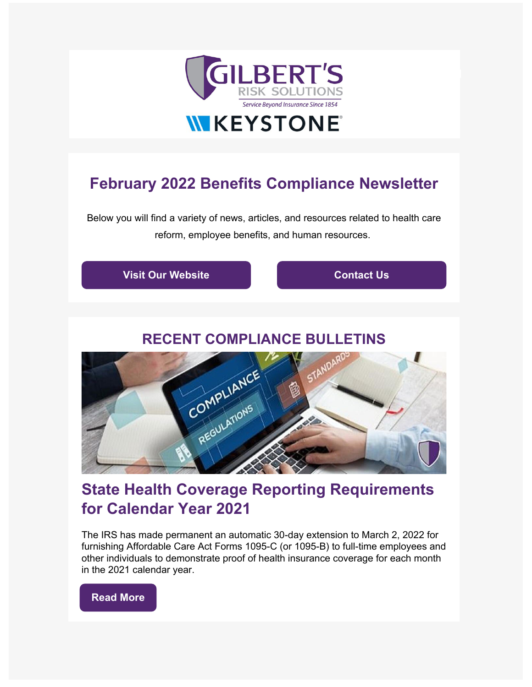

# **February 2022 Benefits Compliance Newsletter**

Below you will find a variety of news, articles, and resources related to health care reform, employee benefits, and human resources.



## **State Health Coverage Reporting Requirements for Calendar Year 2021**

The IRS has made permanent an automatic 30-day extension to March 2, 2022 for furnishing Affordable Care Act Forms 1095-C (or 1095-B) to full-time employees and other individuals to demonstrate proof of health insurance coverage for each month in the 2021 calendar year.